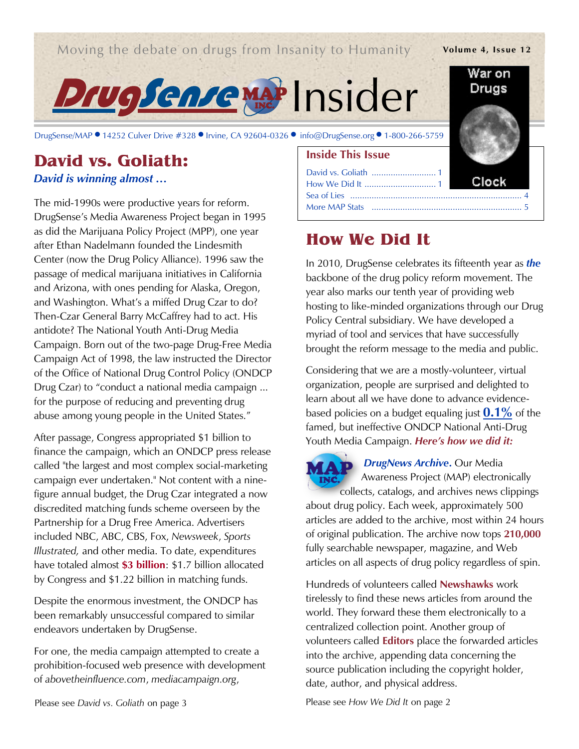*Moving the debate on drugs from Insanity to Humanity* **Volume 4, Issue 12** 

Drugsenremat Insider

DrugSense/MAP ● 14252 Culver Drive #328 ● Irvine, CA 92604-0326 ● [info@DrugSense.org](mailto:info@DrugSense.org) ● 1-800-266-5759

### **David vs. Goliath:**  *David is winning almost …*

The mid-1990s were productive years for reform. DrugSense's Media Awareness Project began in 1995 as did the Marijuana Policy Project (MPP), one year after Ethan Nadelmann founded the Lindesmith Center (now the Drug Policy Alliance). 1996 saw the passage of medical marijuana initiatives in California and Arizona, with ones pending for Alaska, Oregon, and Washington. What's a miffed Drug Czar to do? Then-Czar General Barry McCaffrey had to act. His antidote? The National Youth Anti-Drug Media Campaign. Born out of the two-page Drug-Free Media Campaign Act of 1998, the law instructed the Director of the Office of National Drug Control Policy (ONDCP Drug Czar) to "conduct a national media campaign ... for the purpose of reducing and preventing drug abuse among young people in the United States."

After passage, Congress appropriated \$1 billion to finance the campaign, which an ONDCP press release called "the largest and most complex social-marketing campaign ever undertaken." Not content with a ninefigure annual budget, the Drug Czar integrated a now discredited matching funds scheme overseen by the Partnership for a Drug Free America. Advertisers included NBC, ABC, CBS, Fox, *Newsweek*, *Sports Illustrated,* and other media. To date, expenditures have totaled almost **\$3 billion**: \$1.7 billion allocated by Congress and \$1.22 billion in matching funds.

Despite the enormous investment, the ONDCP has been remarkably unsuccessful compared to similar endeavors undertaken by DrugSense.

For one, the media campaign attempted to create a prohibition-focused web presence with development of *abovetheinfluence.com*, *mediacampaign.org*,

# **How We Did It**

David vs. Goliath ........................... 1 How We Did It .............................. 1

**Inside This Issue**

In 2010, DrugSense celebrates its fifteenth year as *the* backbone of the drug policy reform movement. The year also marks our tenth year of providing web hosting to like-minded organizations through our Drug Policy Central subsidiary. We have developed a myriad of tool and services that have successfully brought the reform message to the media and public.

Sea of Lies ........................................................................ 4 More MAP Stats ............................................................... 5

Considering that we are a mostly-volunteer, virtual organization, people are surprised and delighted to learn about all we have done to advance evidencebased policies on a budget equaling just **0.1%** of the famed, but ineffective ONDCP National Anti-Drug Youth Media Campaign. *Here's how we did it:*



*DrugNews Archive*. Our Media Awareness Project (MAP) electronically

collects, catalogs, and archives news clippings about drug policy. Each week, approximately 500 articles are added to the archive, most within 24 hours of original publication. The archive now tops **210,000** fully searchable newspaper, magazine, and Web articles on all aspects of drug policy regardless of spin.

Hundreds of volunteers called **Newshawks** work tirelessly to find these news articles from around the world. They forward these them electronically to a centralized collection point. Another group of volunteers called **Editors** place the forwarded articles into the archive, appending data concerning the source publication including the copyright holder, date, author, and physical address.

Please see *David vs. Goliath* on page 3 Please see *How We Did It* on page 2



War on Druas

Clock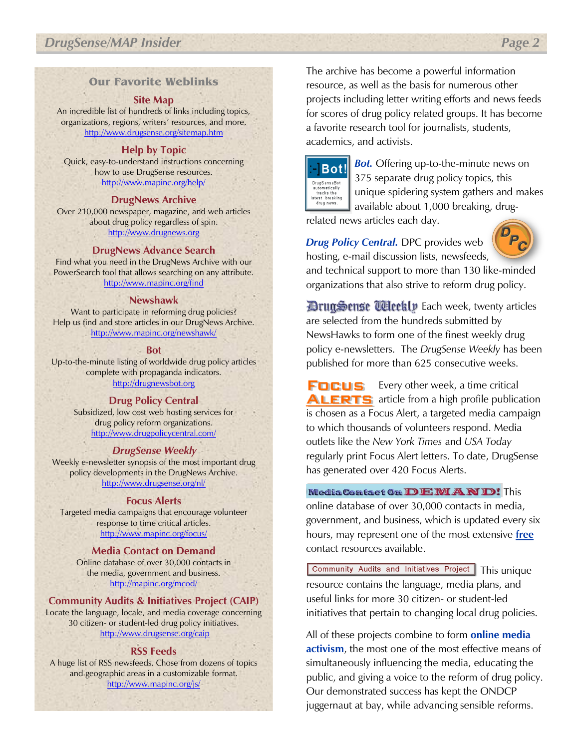### **Our Favorite Weblinks**

#### **Site Map**

An incredible list of hundreds of links including topics, organizations, regions, writers' resources, and more. <http://www.drugsense.org/sitemap.htm>

#### **Help by Topic**

Quick, easy-to-understand instructions concerning how to use DrugSense resources. <http://www.mapinc.org/help/>

#### **DrugNews Archive**

Over 210,000 newspaper, magazine, and web articles about drug policy regardless of spin. [http://www.drugnews.org](http://www.drugnews.org/)

#### **DrugNews Advance Search**

Find what you need in the DrugNews Archive with our PowerSearch tool that allows searching on any attribute. <http://www.mapinc.org/find>

#### **Newshawk**

Want to participate in reforming drug policies? Help us find and store articles in our DrugNews Archive. <http://www.mapinc.org/newshawk/>

#### **Bot**

Up-to-the-minute listing of worldwide drug policy articles complete with propaganda indicators. [http://drugnewsbot.org](http://drugnewsbot.org/)

#### **Drug Policy Central**

Subsidized, low cost web hosting services for drug policy reform organizations. <http://www.drugpolicycentral.com/>

#### *DrugSense Weekly*

Weekly e-newsletter synopsis of the most important drug policy developments in the DrugNews Archive. <http://www.drugsense.org/nl/>

#### **Focus Alerts**

Targeted media campaigns that encourage volunteer response to time critical articles. <http://www.mapinc.org/focus/>

#### **Media Contact on Demand** Online database of over 30,000 contacts in

the media, government and business. <http://mapinc.org/mcod/>

#### **Community Audits & Initiatives Project (CAIP)**

Locate the language, locale, and media coverage concerning 30 citizen- or student-led drug policy initiatives. <http://www.drugsense.org/caip>

#### **RSS Feeds**

A huge list of RSS newsfeeds. Chose from dozens of topics and geographic areas in a customizable format. <http://www.mapinc.org/js/>

The archive has become a powerful information resource, as well as the basis for numerous other projects including letter writing efforts and news feeds for scores of drug policy related groups. It has become a favorite research tool for journalists, students, academics, and activists.



*Bot.* Offering up-to-the-minute news on 375 separate drug policy topics, this unique spidering system gathers and makes available about 1,000 breaking, drug-

related news articles each day.

*Drug Policy Central.* DPC provides web hosting, e-mail discussion lists, newsfeeds,



and technical support to more than 130 like-minded organizations that also strive to reform drug policy.

**DrugSense Uleetly Each week, twenty articles** are selected from the hundreds submitted by NewsHawks to form one of the finest weekly drug policy e-newsletters. The *DrugSense Weekly* has been published for more than 625 consecutive weeks.

**FOCUS** Every other week, a time critical **ALERTS** article from a high profile publication is chosen as a Focus Alert, a targeted media campaign to which thousands of volunteers respond. Media outlets like the *New York Times* and *USA Today* regularly print Focus Alert letters. To date, DrugSense has generated over 420 Focus Alerts.

Media Contact On DEMAND! This online database of over 30,000 contacts in media, government, and business, which is updated every six hours, may represent one of the most extensive **free** contact resources available.

Community Audits and Initiatives Project | This unique resource contains the language, media plans, and useful links for more 30 citizen- or student-led initiatives that pertain to changing local drug policies.

All of these projects combine to form **online media activism**, the most one of the most effective means of simultaneously influencing the media, educating the public, and giving a voice to the reform of drug policy. Our demonstrated success has kept the ONDCP juggernaut at bay, while advancing sensible reforms.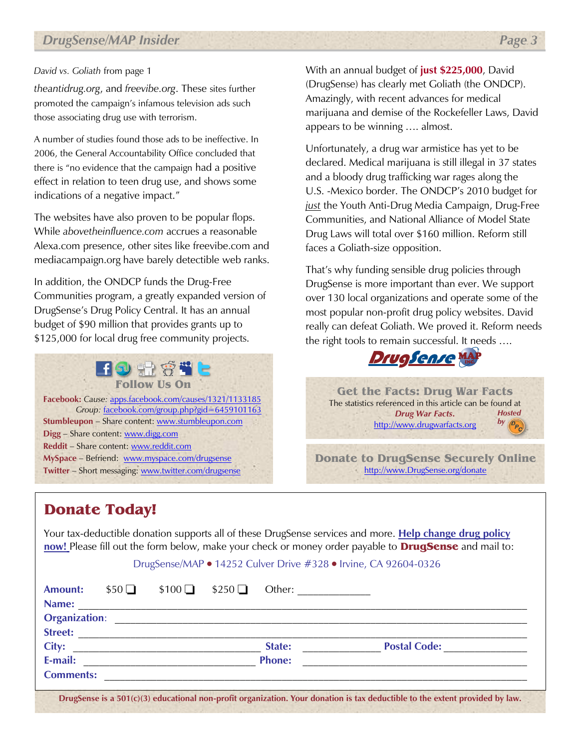*theantidrug.org*, and *freevibe.org*. These sites further promoted the campaign's infamous television ads such those associating drug use with terrorism.

A number of studies found those ads to be ineffective. In 2006, the General Accountability Office concluded that there is "no evidence that the campaign had a positive effect in relation to teen drug use, and shows some indications of a negative impact."

The websites have also proven to be popular flops. While *abovetheinfluence.com* accrues a reasonable Alexa.com presence, other sites like freevibe.com and mediacampaign.org have barely detectible web ranks.

In addition, the ONDCP funds the Drug-Free Communities program, a greatly expanded version of DrugSense's Drug Policy Central. It has an annual budget of \$90 million that provides grants up to \$125,000 for local drug free community projects.

**Follow Us On Facebook:** *Cause:* [apps.facebook.com/causes/1321/1133185](http://apps.facebook.com/causes/1321/1133185) *Group:* [facebook.com/group.php?gid=6459101163](http://www.facebook.com/group.php?gid=6459101163) **Stumbleupon** – Share content: [www.stumbleupon.com](http://www.stumbleupon.com/) **Digg** – Share content[: www.digg.com](http://www.digg.com/) **Reddit** – Share content[: www.reddit.com](http://www.reddit.com/) **MySpace** – Befriend: [www.myspace.com/drugsense](http://www.myspace.com/drugsense) **Twitter** – Short messaging: [www.twitter.com/drugsense](http://www.twitter.com/drugsense)

*David vs. Goliath* from page 1 With an annual budget of **just \$225,000**, David (DrugSense) has clearly met Goliath (the ONDCP). Amazingly, with recent advances for medical marijuana and demise of the Rockefeller Laws, David appears to be winning …. almost.

> Unfortunately, a drug war armistice has yet to be declared. Medical marijuana is still illegal in 37 states and a bloody drug trafficking war rages along the U.S. -Mexico border. The ONDCP's 2010 budget for *just* the Youth Anti-Drug Media Campaign, Drug-Free Communities, and National Alliance of Model State Drug Laws will total over \$160 million. Reform still faces a Goliath-size opposition.

That's why funding sensible drug policies through DrugSense is more important than ever. We support over 130 local organizations and operate some of the most popular non-profit drug policy websites. David really can defeat Goliath. We proved it. Reform needs the right tools to remain successful. It needs ….



**Get the Facts: Drug War Facts** The statistics referenced in this article can be found at *Drug War Facts***.** [http://www.drugwarfacts.org](http://www.drugwarfacts.org/) *Hosted*   $by$   $\mathcal{P}_c$ 

**Donate to DrugSense Securely Online** [http://www.DrugSense.org/donate](http://www.drugsense.org/donate)

## **Donate Today!**

Your tax-deductible donation supports all of these DrugSense services and more. **Help change drug policy now!** Please fill out the form below, make your check or money order payable to **DrugSense** and mail to:

#### DrugSense/MAP • 14252 Culver Drive #328 • Irvine, CA 92604-0326

| <b>Amount:</b>   | $$50\Box$ | $$100$ $$250$ $\Box$ |                                                            | Other: $\qquad \qquad$                                                                                                         |
|------------------|-----------|----------------------|------------------------------------------------------------|--------------------------------------------------------------------------------------------------------------------------------|
| Name:            |           |                      | <u> 1980 - Johann Stoff, amerikansk politiker (* 1900)</u> |                                                                                                                                |
|                  |           |                      |                                                            |                                                                                                                                |
|                  |           |                      |                                                            |                                                                                                                                |
|                  |           |                      | State:                                                     | Postal Code:                                                                                                                   |
| E-mail:          |           |                      | <b>Phone:</b>                                              |                                                                                                                                |
| <b>Comments:</b> |           |                      |                                                            |                                                                                                                                |
|                  |           |                      |                                                            | DrugSense is a $501(c)(3)$ educational non-profit organization. Your donation is tax deductible to the extent provided by law. |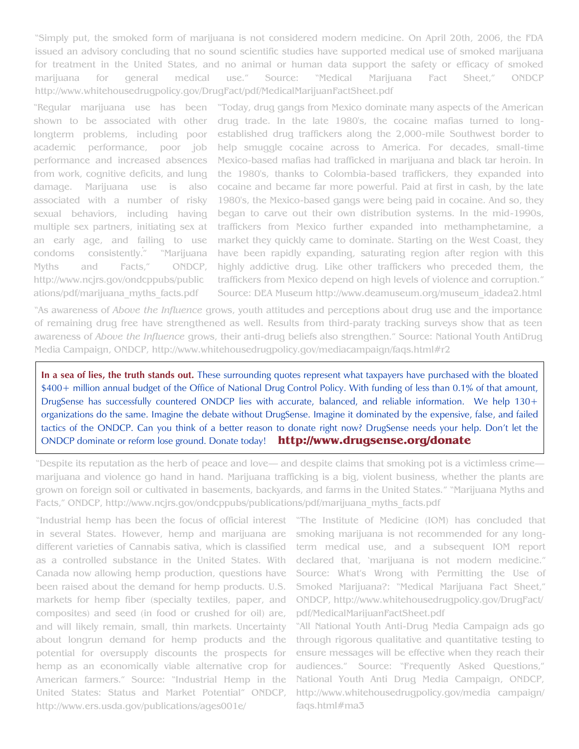"Simply put, the smoked form of marijuana is not considered modern medicine. On April 20th, 2006, the FDA issued an advisory concluding that no sound scientific studies have supported medical use of smoked marijuana for treatment in the United States, and no animal or human data support the safety or efficacy of smoked marijuana for general medical use." Source: "Medical Marijuana Fact Sheet," ONDCP [http://www.whitehousedrugpolicy.gov/DrugFact/pdf/MedicalMarijuanFactSheet.pdf](1)

. an early age, and failing to use "Regular marijuana use has been shown to be associated with other longterm problems, including poor academic performance, poor job performance and increased absences from work, cognitive deficits, and lung damage. Marijuana use is also associated with a number of risky sexual behaviors, including having multiple sex partners, initiating sex at condoms consistently." "Marijuana Myths and Facts," ONDCP, [http://www.ncjrs.gov/ondcppubs/public](1) [ations/pdf/marijuana\\_myths\\_facts.pdf](1)

"Today, drug gangs from Mexico dominate many aspects of the American drug trade. In the late 1980's, the cocaine mafias turned to longestablished drug traffickers along the 2,000-mile Southwest border to help smuggle cocaine across to America. For decades, small-time Mexico-based mafias had trafficked in marijuana and black tar heroin. In the 1980's, thanks to Colombia-based traffickers, they expanded into cocaine and became far more powerful. Paid at first in cash, by the late 1980's, the Mexico-based gangs were being paid in cocaine. And so, they began to carve out their own distribution systems. In the mid-1990s, traffickers from Mexico further expanded into methamphetamine, a market they quickly came to dominate. Starting on the West Coast, they have been rapidly expanding, saturating region after region with this highly addictive drug. Like other traffickers who preceded them, the traffickers from Mexico depend on high levels of violence and corruption." Source: DEA Museum [http://www.deamuseum.org/museum\\_idadea2.html](1)

"As awareness of *Above the Influence* grows, youth attitudes and perceptions about drug use and the importance of remaining drug free have strengthened as well. Results from [third-paraty tracking surveys](http://www.whitehousedrugpolicy.gov/mediacampaign/about.html#independent) show that as teen awareness of *Above the Influence* grows, their anti-drug beliefs also strengthen." Source: National Youth AntiDrug Media Campaign, ONDCP, [http://www.whitehousedrugpolicy.gov/mediacampaign/faqs.html#r2](1)

**In a sea of lies, the truth stands out.** These surrounding quotes represent what taxpayers have purchased with the bloated \$400+ million annual budget of the Office of National Drug Control Policy. With funding of less than 0.1% of that amount, DrugSense has successfully countered ONDCP lies with accurate, balanced, and reliable information. We help 130+ organizations do the same. Imagine the debate without DrugSense. Imagine it dominated by the expensive, false, and failed tactics of the ONDCP. Can you think of a better reason to donate right now? DrugSense needs your help. Don't let the ONDCP dominate or reform lose ground. Donate today! **<http://www.drugsense.org/donate>**

"Despite its reputation as the herb of peace and love— and despite claims that smoking pot is a victimless crime marijuana and violence go hand in hand. Marijuana trafficking is a big, violent business, whether the plants are grown on foreign soil or cultivated in basements, backyards, and farms in the United States." "Marijuana Myths and Facts," ONDCP, [http://www.ncjrs.gov/ondcppubs/publications/pdf/marijuana\\_myths\\_facts.pdf](1)

"Industrial hemp has been the focus of official interest in several States. However, hemp and marijuana are different varieties of Cannabis sativa, which is classified as a controlled substance in the United States. With Canada now allowing hemp production, questions have been raised about the demand for hemp products. U.S. markets for hemp fiber (specialty textiles, paper, and composites) and seed (in food or crushed for oil) are, and will likely remain, small, thin markets. Uncertainty about longrun demand for hemp products and the potential for oversupply discounts the prospects for hemp as an economically viable alternative crop for American farmers." Source: "[Industrial Hemp in the](http://www.ers.usda.gov/publications/ages001e/)  [United States: Status and Market Potential](http://www.ers.usda.gov/publications/ages001e/)" ONDCP, [http://www.ers.usda.gov/publications/ages001e/](1)

"The Institute of Medicine (IOM) has concluded that smoking marijuana is not recommended for any longterm medical use, and a subsequent IOM report declared that, "marijuana is not modern medicine." Source: What's Wrong with Permitting the Use of Smoked Marijuana?: "Medical Marijuana Fact Sheet," ONDCP, http://www.whitehousedrugpolicy.gov/DrugFact/ pdf/MedicalMarijuanFactSheet.pdf

"All National Youth Anti-Drug Media Campaign ads go through rigorous qualitative and quantitative testing to ensure messages will be effective when they reach their audiences." Source: "Frequently Asked Questions," National Youth Anti Drug Media Campaign, ONDCP, [http://www.whitehousedrugpolicy.gov/media campaign/](1) [faqs.html#ma3](1)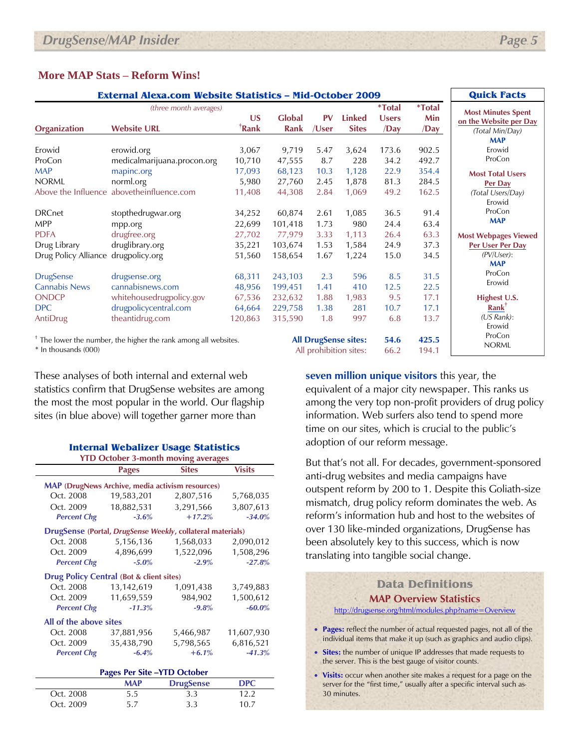#### **More MAP Stats – Reform Wins!**

| <b>External Alexa.com Website Statistics - Mid-October 2009</b>            |                                                                      |                                   |                               |                      |                               |                                                  | <b>Quick Facts</b>                          |                                                                        |
|----------------------------------------------------------------------------|----------------------------------------------------------------------|-----------------------------------|-------------------------------|----------------------|-------------------------------|--------------------------------------------------|---------------------------------------------|------------------------------------------------------------------------|
| <b>Organization</b>                                                        | (three month averages)<br><b>Website URL</b>                         | $\overline{\mathsf{US}}$<br>†Rank | <b>Global</b><br>Rank         | PV<br>/User          | <b>Linked</b><br><b>Sites</b> | <i><b>*Total</b></i><br><b>Users</b><br>$\sqrt{$ | <i><b>*Total</b></i><br>Min<br>$\sqrt{Day}$ | <b>Most Minutes Spent</b><br>on the Website per Day<br>(Total Min/Day) |
| Erowid<br>ProCon                                                           | erowid.org<br>medicalmarijuana.procon.org                            | 3,067<br>10,710                   | 9,719<br>47,555               | 5.47<br>8.7          | 3,624<br>228                  | 173.6<br>34.2                                    | 902.5<br>492.7                              | <b>MAP</b><br>Erowid<br>ProCon                                         |
| <b>MAP</b><br><b>NORML</b>                                                 | mapinc.org<br>norml.org                                              | 17,093<br>5,980                   | 68,123<br>27,760              | 10.3<br>2.45         | 1,128<br>1,878                | 22.9<br>81.3                                     | 354.4<br>284.5                              | <b>Most Total Users</b><br>Per Day                                     |
| <b>DRCnet</b><br><b>MPP</b>                                                | Above the Influence abovetheinfluence.com<br>stopthedrugwar.org      | 11,408<br>34,252<br>22,699        | 44,308<br>60,874<br>101,418   | 2.84<br>2.61<br>1.73 | 1,069<br>1,085<br>980         | 49.2<br>36.5<br>24.4                             | 162.5<br>91.4<br>63.4                       | (Total Users/Day)<br>Erowid<br>ProCon<br><b>MAP</b>                    |
| <b>PDFA</b><br>Drug Library<br>Drug Policy Alliance drugpolicy.org         | mpp.org<br>drugfree.org<br>druglibrary.org                           | 27,702<br>35,221<br>51,560        | 77,979<br>103,674<br>158,654  | 3.33<br>1.53<br>1.67 | 1,113<br>1,584<br>1,224       | 26.4<br>24.9<br>15.0                             | 63.3<br>37.3<br>34.5                        | <b>Most Webpages Viewed</b><br>Per User Per Day<br>$(PV/User)$ :       |
| <b>DrugSense</b><br><b>Cannabis News</b>                                   | drugsense.org<br>cannabisnews.com                                    | 68,311<br>48,956                  | 243,103<br>199,451            | 2.3<br>1.41          | 596<br>410                    | 8.5<br>12.5                                      | 31.5<br>22.5                                | <b>MAP</b><br>ProCon<br>Erowid                                         |
| <b>ONDCP</b><br><b>DPC</b><br>AntiDrug                                     | whitehousedrugpolicy.gov<br>drugpolicycentral.com<br>theantidrug.com | 67,536<br>64,664<br>120,863       | 232,632<br>229,758<br>315,590 | 1.88<br>1.38<br>1.8  | 1,983<br>281<br>997           | 9.5<br>10.7<br>6.8                               | 17.1<br>17.1<br>13.7                        | Highest U.S.<br>$Rank^{\dagger}$<br>(US Rank):                         |
| <sup>†</sup> The lower the number, the higher the rank among all websites. |                                                                      |                                   |                               |                      | <b>All DrugSense sites:</b>   | 54.6                                             | 425.5                                       | Erowid<br>ProCon<br><b>NORML</b>                                       |

\* In thousands (000)

These analyses of both internal and external web statistics confirm that DrugSense websites are among the most the most popular in the world. Our flagship sites (in blue above) will together garner more than

| <b>Internal Webalizer Usage Statistics</b> |  |
|--------------------------------------------|--|
| <b>YTD October 3-month moving averages</b> |  |

|                                                            | <b>Pages</b>                          | <b>Sites</b> | <b>Visits</b> |  |  |  |  |  |
|------------------------------------------------------------|---------------------------------------|--------------|---------------|--|--|--|--|--|
| <b>MAP</b> (DrugNews Archive, media activism resources)    |                                       |              |               |  |  |  |  |  |
| Oct. 2008                                                  | 19,583,201                            | 2,807,516    | 5,768,035     |  |  |  |  |  |
| Oct. 2009                                                  | 18,882,531                            | 3,291,566    | 3,807,613     |  |  |  |  |  |
|                                                            | $-3.6%$                               |              |               |  |  |  |  |  |
| <b>Percent Chg</b>                                         |                                       | $+17.2%$     | $-34.0%$      |  |  |  |  |  |
| DrugSense (Portal, DrugSense Weekly, collateral materials) |                                       |              |               |  |  |  |  |  |
| Oct. 2008                                                  | 5,156,136                             | 1,568,033    | 2,090,012     |  |  |  |  |  |
| Oct. 2009                                                  | 4,896,699                             | 1,522,096    | 1,508,296     |  |  |  |  |  |
| <b>Percent Chg</b>                                         | $-5.0\%$                              | $-2.9%$      | $-27.8%$      |  |  |  |  |  |
| <b>Drug Policy Central (Bot &amp; client sites)</b>        |                                       |              |               |  |  |  |  |  |
| Oct. 2008                                                  | 13,142,619                            | 1,091,438    | 3,749,883     |  |  |  |  |  |
|                                                            |                                       |              |               |  |  |  |  |  |
| Oct. 2009                                                  | 11,659,559                            | 984,902      | 1,500,612     |  |  |  |  |  |
| <b>Percent Chg</b>                                         | $-11.3%$                              | $-9.8%$      | $-60.0\%$     |  |  |  |  |  |
| All of the above sites                                     |                                       |              |               |  |  |  |  |  |
| Oct. 2008                                                  | 37,881,956                            | 5,466,987    | 11,607,930    |  |  |  |  |  |
| Oct. 2009                                                  | 35,438,790                            | 5,798,565    | 6,816,521     |  |  |  |  |  |
| <b>Percent Chg</b>                                         | $-6.4%$                               | $+6.1%$      | $-41.3%$      |  |  |  |  |  |
| Pages Per Site –YTD October                                |                                       |              |               |  |  |  |  |  |
|                                                            | <b>DPC</b><br>MAP<br><b>DrugSense</b> |              |               |  |  |  |  |  |

Oct. 2008 5.5 3.3 12.2 Oct. 2009 5.7 3.3 10.7 **seven million unique visitors** this year, the equivalent of a major city newspaper. This ranks us among the very top non-profit providers of drug policy information. Web surfers also tend to spend more time on our sites, which is crucial to the public's adoption of our reform message.

All prohibition sites: 66.2 194.1

But that's not all. For decades, government-sponsored anti-drug websites and media campaigns have outspent reform by 200 to 1. Despite this Goliath-size mismatch, drug policy reform dominates the web. As reform's information hub and host to the websites of over 130 like-minded organizations, DrugSense has been absolutely key to this success, which is now translating into tangible social change.